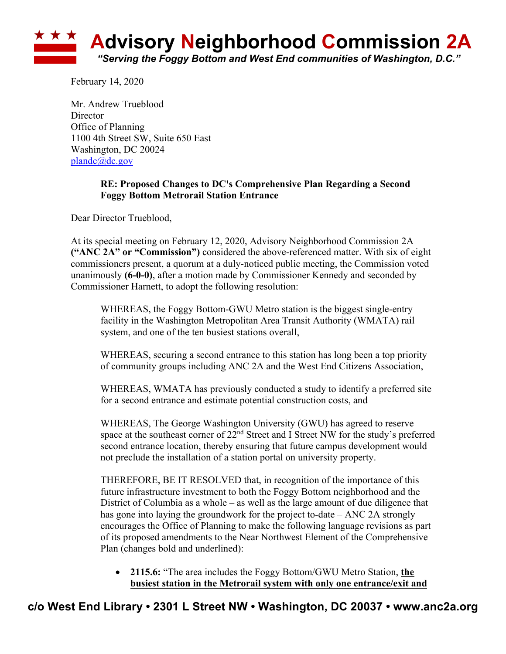

February 14, 2020

Mr. Andrew Trueblood **Director** Office of Planning 1100 4th Street SW, Suite 650 East Washington, DC 20024 plandc@dc.gov

## **RE: Proposed Changes to DC's Comprehensive Plan Regarding a Second Foggy Bottom Metrorail Station Entrance**

Dear Director Trueblood,

At its special meeting on February 12, 2020, Advisory Neighborhood Commission 2A **("ANC 2A" or "Commission")** considered the above-referenced matter. With six of eight commissioners present, a quorum at a duly-noticed public meeting, the Commission voted unanimously **(6-0-0)**, after a motion made by Commissioner Kennedy and seconded by Commissioner Harnett, to adopt the following resolution:

WHEREAS, the Foggy Bottom-GWU Metro station is the biggest single-entry facility in the Washington Metropolitan Area Transit Authority (WMATA) rail system, and one of the ten busiest stations overall,

WHEREAS, securing a second entrance to this station has long been a top priority of community groups including ANC 2A and the West End Citizens Association,

WHEREAS, WMATA has previously conducted a study to identify a preferred site for a second entrance and estimate potential construction costs, and

WHEREAS, The George Washington University (GWU) has agreed to reserve space at the southeast corner of 22<sup>nd</sup> Street and I Street NW for the study's preferred second entrance location, thereby ensuring that future campus development would not preclude the installation of a station portal on university property.

THEREFORE, BE IT RESOLVED that, in recognition of the importance of this future infrastructure investment to both the Foggy Bottom neighborhood and the District of Columbia as a whole – as well as the large amount of due diligence that has gone into laying the groundwork for the project to-date – ANC 2A strongly encourages the Office of Planning to make the following language revisions as part of its proposed amendments to the Near Northwest Element of the Comprehensive Plan (changes bold and underlined):

• **2115.6:** "The area includes the Foggy Bottom/GWU Metro Station, **the busiest station in the Metrorail system with only one entrance/exit and**